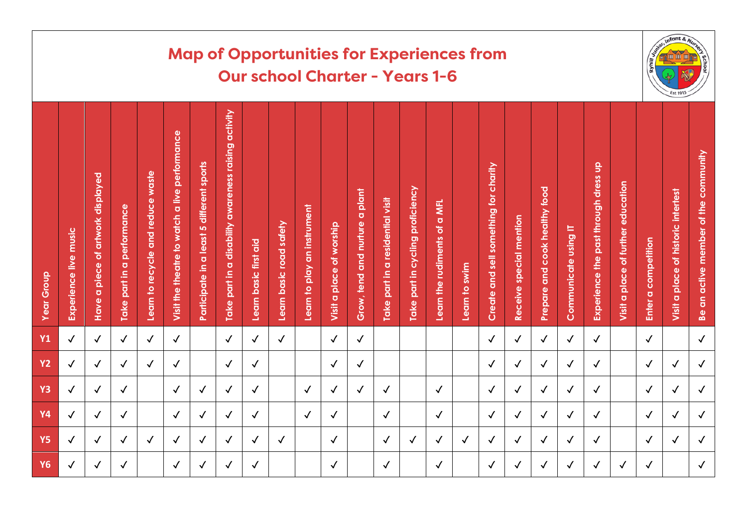|                   | <b>Map of Opportunities for Experiences from</b><br><b>Our school Charter - Years 1-6</b> |                                                              |                            |                                   |                                               |                                           |                                                      |                       |                         |                             |                          |                                                            |                                  |                                  |                              |               | $in k$<br>Est 1913                    |                         |                               |                      |                                      |                                    |                     |                                     |                                                   |
|-------------------|-------------------------------------------------------------------------------------------|--------------------------------------------------------------|----------------------------|-----------------------------------|-----------------------------------------------|-------------------------------------------|------------------------------------------------------|-----------------------|-------------------------|-----------------------------|--------------------------|------------------------------------------------------------|----------------------------------|----------------------------------|------------------------------|---------------|---------------------------------------|-------------------------|-------------------------------|----------------------|--------------------------------------|------------------------------------|---------------------|-------------------------------------|---------------------------------------------------|
| <b>Year Group</b> | Experience live music                                                                     | of artwork displayed<br>piece<br>$\overline{\sigma}$<br>Have | Take part in a performance | Learn to recycle and reduce waste | Visit the theatre to watch a live performance | Participate in a least 5 different sports | Take part in a disability awareness raising activity | Learn basic first aid | Learn basic road safety | Learn to play an instrument | Visit a place of worship | plant<br>$\overline{\textbf{o}}$<br>Grow, tend and nurture | Take part in a residential visit | lake part in cycling proficiency | Learn the rudiments of a MFL | Learn to swim | Create and sell something for charity | Receive special mention | Prepare and cook healthy food | Communicate using IT | Experience the past through dress up | Visit a place of further education | Enter a competition | Visit a place of historic intertest | of the community<br>an active member<br><b>Be</b> |
| <b>Y1</b>         | $\checkmark$                                                                              | $\checkmark$                                                 | $\checkmark$               | $\checkmark$                      | $\checkmark$                                  |                                           | $\checkmark$                                         | $\checkmark$          | $\checkmark$            |                             | $\checkmark$             | $\sqrt{ }$                                                 |                                  |                                  |                              |               | $\checkmark$                          | $\checkmark$            | $\checkmark$                  | $\checkmark$         | $\checkmark$                         |                                    | $\checkmark$        |                                     | $\checkmark$                                      |
| <b>Y2</b>         | $\checkmark$                                                                              | $\checkmark$                                                 | $\checkmark$               | $\checkmark$                      | $\checkmark$                                  |                                           | $\checkmark$                                         | $\checkmark$          |                         |                             | $\checkmark$             | $\checkmark$                                               |                                  |                                  |                              |               | $\checkmark$                          | $\checkmark$            | $\checkmark$                  | $\checkmark$         | $\checkmark$                         |                                    | $\checkmark$        | $\checkmark$                        | $\checkmark$                                      |
| <b>Y3</b>         | $\checkmark$                                                                              | $\checkmark$                                                 | $\sqrt{2}$                 |                                   | $\checkmark$                                  | $\checkmark$                              | $\checkmark$                                         | $\checkmark$          |                         | $\checkmark$                | $\checkmark$             | $\checkmark$                                               | $\checkmark$                     |                                  | $\checkmark$                 |               | $\checkmark$                          | $\checkmark$            | $\checkmark$                  | $\checkmark$         | $\checkmark$                         |                                    | $\checkmark$        | $\checkmark$                        | $\checkmark$                                      |
| <b>Y4</b>         | $\checkmark$                                                                              | $\checkmark$                                                 | $\checkmark$               |                                   | $\checkmark$                                  | $\checkmark$                              | $\checkmark$                                         | $\checkmark$          |                         | $\checkmark$                | $\checkmark$             |                                                            | $\checkmark$                     |                                  | $\checkmark$                 |               | $\checkmark$                          | $\checkmark$            | $\checkmark$                  | $\checkmark$         | $\checkmark$                         |                                    | $\checkmark$        | $\checkmark$                        | $\checkmark$                                      |
| <b>Y5</b>         | $\checkmark$                                                                              | $\checkmark$                                                 | $\checkmark$               | $\checkmark$                      | $\sqrt{ }$                                    | $\checkmark$                              | $\checkmark$                                         | $\checkmark$          | $\checkmark$            |                             | $\checkmark$             |                                                            | $\checkmark$                     | $\checkmark$                     | $\checkmark$                 | $\checkmark$  | $\checkmark$                          | $\sqrt{ }$              | $\checkmark$                  | $\checkmark$         | $\checkmark$                         |                                    | $\checkmark$        | $\checkmark$                        | $\checkmark$                                      |
| <b>Y6</b>         | $\checkmark$                                                                              | $\checkmark$                                                 | $\checkmark$               |                                   | $\checkmark$                                  | $\checkmark$                              | ✓                                                    | $\checkmark$          |                         |                             | $\checkmark$             |                                                            | $\checkmark$                     |                                  | $\checkmark$                 |               | $\checkmark$                          | $\checkmark$            | $\checkmark$                  | $\checkmark$         | $\checkmark$                         | $\checkmark$                       | $\checkmark$        |                                     | $\checkmark$                                      |